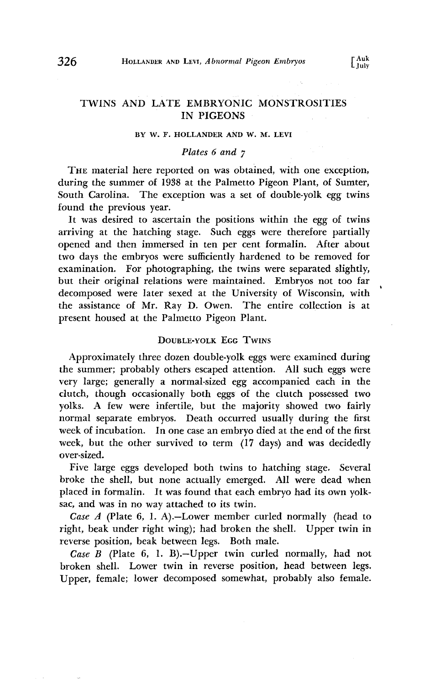# **TWINS AND LATE EMBRYONIC MONSTROSITIES IN PIGEONS**

## **BY W. F. HOLLANDER AND W. M. LEVI**

## **Plates 6 and 7**

THE material here reported on was obtained, with one exception, **during the summer of 1938 at the Palmetto Pigeon Plant, of Sumter, South Carolina. The exception was a set of double-yolk egg twins found the previous year.** 

**It was desired to ascertain the positions within the egg of twins arriving at the hatching stage. Such eggs were therefore partially opened and then immersed in ten per cent formalin. After about two days the embryos were sufficiently hardened to be removed for examination. For photographing, the twins were separated slightly, but their original relations were maintained. Embryos not too far decomposed were later sexed at the University of Wisconsin, with the assistance of Mr. Ray D. Owen. The entire collection is at present housed at the Palmetto Pigeon Plant.** 

## **DOUBLE-YOLK EGG TWINS**

**Approximately three dozen double-yolk eggs were examined during the summer; probably others escaped attention. All such eggs were very large; generally a normal-sized egg accompanied each in the clutch, though occasionally both eggs of the clutch possessed two yolks. A few were infertile, but the majority showed two fairly normal separate embryos. Death occurred usually during the first week of incubation. In one case an embryo died at the end of the first week, but the other survived to term (17 days) and was decidedly over-sized.** 

**Five large eggs developed both twins to hatching stage. Several broke the shell, but none actually emerged. All were dead when placed in formalin. It was found that each embryo had its own yolksac, and was in no way attached to its twin.** 

Case A (Plate 6, 1. A).-Lower member curled normally (head to **right, beak under right wing); had broken the shell. Upper twin in reverse position, beak between legs. Both male.** 

**Case B (Plate 6, 1. B).-Upper twin curled normally, had not broken shell. Lower twin in reverse position, head between legs. Upper, female; lower decomposed somewhat, probably also female.**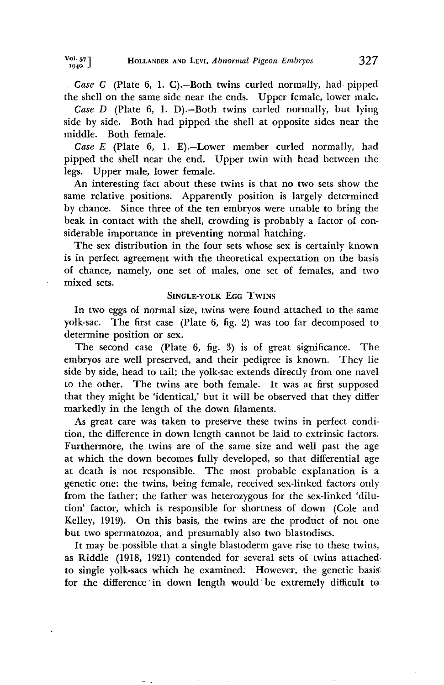**Case C (Plate 6, 1. G).--Both twins curled normally, had pipped the shell on the same side near the ends. Upper female, lower male.** 

Case D (Plate 6, 1. D).-Both twins curled normally, but lying **side by side. Both had pipped the shell at opposite sides near the middle. Both female.** 

Case E (Plate 6, 1. E).-Lower member curled normally, had **pipped the shell near the end. Upper twin with head between the legs. Upper male, lower female.** 

**An interesting fact about these twins is that no two sets show the same relative positions. Apparently position is largely determined by chance. Since three of the ten embryos were unable to bring the beak in contact with the shell, crowding is probably a factor of considerable importance in preventing normal hatching.** 

**The sex distribution in the four sets whose sex is certainly known is in perfect agreement with the theoretical expectation on the basis of chance, namely, one set of males, one set of females, and two mixed sets.** 

## **SINGLE-YOLK EGG TWINS**

**In two eggs of normal size, twins were found attached to the same yolk-sac. The first case (Plate 6, fig. 2) was too far decomposed to determine position or sex.** 

**The second case (Plate 6, fig. 3) is of great significance. The embryos are well preserved, and their pedigree is known. They lie side by side, head to tail; the yolk-sac extends directly from one navel to the other. The twins are both female. It was at first supposed that they might be 'identical,' but it will be observed that they differ markedly in the length of the down filaments.** 

**As great care was taken to preserve these twins in perfect condition, the difference in down length cannot be laid to extrinsic factors. Furthermore, the twins are of the same size and well past the age at which the down becomes fully developed, so that differential age at death is not responsible. The most probable explanation is a genetic one: the twins, being female, received sex-linked factors only from the father; the father was heterozygous for the sex-linked 'dilution' factor, which is responsible for shortness of down (Cole and Kelley, 1919). On this basis, the twins are the product of not one but two spermatozoa, and presumably also two blastodiscs.** 

**It may be possible that a single blastoderm gave rise to these twins, as Riddle (1918, 1921) contended for several sets of twins attached;**  to single yolk-sacs which he examined. However, the genetic basis. for the difference in down length would be extremely difficult to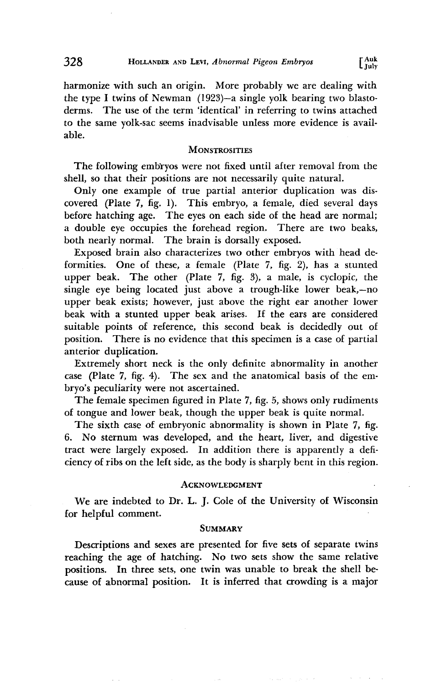**harmonize with such an origin. More probably we are dealing with the type I twins of Newman (1925)-a single yolk bearing two blastoderms. The use of the term 'identical' in referring to twins attached to the same yolk-sac seems inadvisable unless more evidence is available.** 

## **MONSTROSITIES**

The following embryos were not fixed until after removal from the **shell, so that their positions are not necessarily quite natural.** 

**Only one example of true partial anterior duplication was discovered (Plate 7, fig. 1). This embryo, a female, died several days before hatching age. The eyes on each side of the head are normal; a double eye occupies the forehead region. There are two beaks, both nearly normal. The brain is dorsally exposed.** 

**Exposed brain also characterizes two other embryos with head deformities. One of these, a female (Plate 7, fig. 2), has a stunted**  The other (Plate 7, fig. 3), a male, is cyclopic, the **single eye being located just above a trough-like lower beak,--no upper beak exists; however, just above the right ear another lower beak with a stunted upper beak arises. If the ears are considered suitable points of reference, this second beak is decidedly out of position. There is no evidence that this specimen is a case of partial anterior duplication.** 

**Extremely short neck is the only definite abnormality in another case (Plate 7, fig. 4). The sex and the anatomical basis of the embryo's peculiarity were not ascertained.** 

**The female specimen figured in Plate 7, fig. 5, shows only rudiments of tongue and lower beak, though the upper beak is quite normal.** 

**The sixth case of embryonic abnormality is shown in Plate 7, fig. 6. No sternum was developed, and the heart, liver, and digestive tract were largely exposed. In addition there is apparently a deficiency of ribs on the left side, as the body is sharply bent in this region.** 

#### **ACKNOWLEDGMENT**

**We are indebted to Dr. L. J. Cole of the University of Wisconsin for helpful comment.** 

#### **SUMMARY**

**Descriptions and sexes are presented for five sets of separate twins reaching the age of hatching. No two sets show the same relative positions. In three sets, one twin was unable to break the shell because of abnormal position. It is inferred that crowding is a major**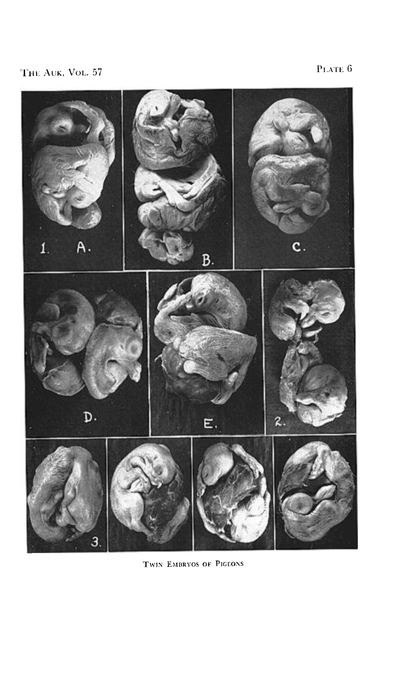# THE AUK, VOL. 57



TWIN EMBRYOS OF PIGEONS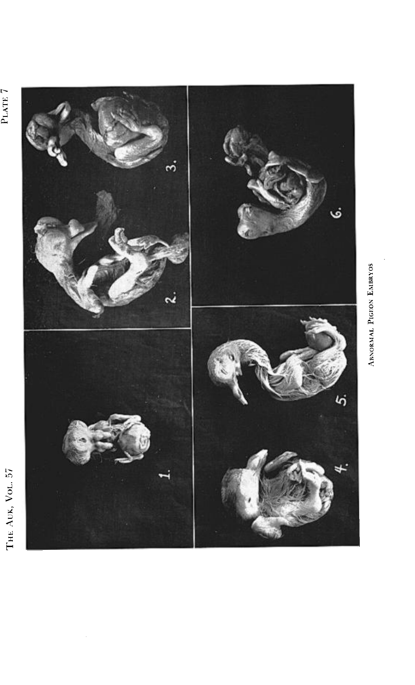

ABNORMAL PIGEON EMBRYOS